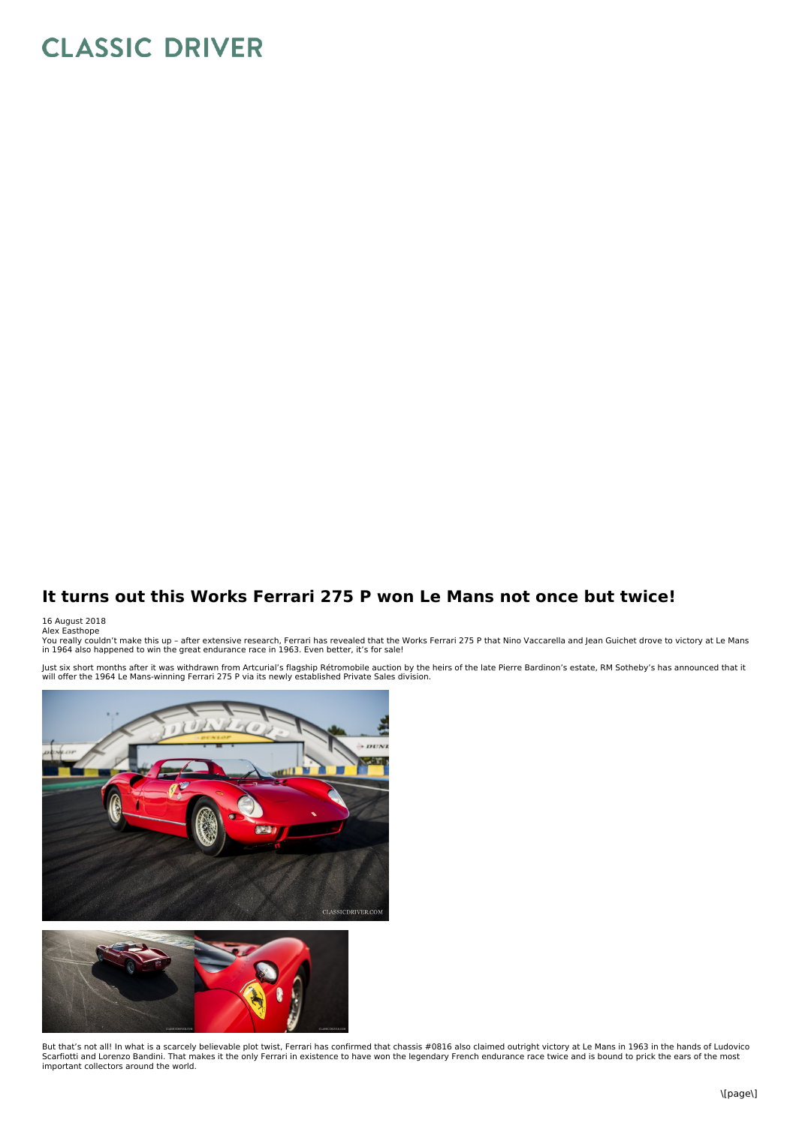## **CLASSIC DRIVER**

## **It turns out this Works Ferrari 275 P won Le Mans not once but twice!**

## 16 August 2018<br>Alex Easthope

You really couldn't make this up – after extensive research, Ferrari has revealed that the Works Ferrari 275 P that Nino Vaccarella and Jean Guichet drove to victory at Le Mans<br>in 1964 also happened to win the great endura

Just six short months after it was withdrawn from Artcurial's flagship Rétromobile auction by the heirs of the late Pierre Bardinon's estate, RM Sotheby's has announced that it<br>will offer the 1964 Le Mans-winning Ferrari 2





But that's not all! In what is a scarcely believable plot twist, Ferrari has confirmed that chassis #0816 also claimed outright victory at Le Mans in 1963 in the hands of Ludovico Scarfiotti and Lorenzo Bandini. That makes it the only Ferrari in existence to have won the legendary French endurance race twice and is bound to prick the ears of the most important collectors around the world.